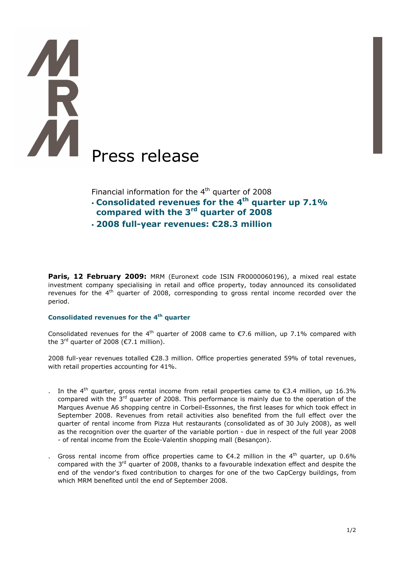# Press release

Financial information for the  $4<sup>th</sup>$  quarter of 2008

- $\cdot$  Consolidated revenues for the 4<sup>th</sup> quarter up 7.1%
- compared with the 3<sup>rd</sup> quarter of 2008
- 2008 full-year revenues: €28.3 million

Paris, 12 February 2009: MRM (Euronext code ISIN FR0000060196), a mixed real estate investment company specialising in retail and office property, today announced its consolidated revenues for the  $4<sup>th</sup>$  quarter of 2008, corresponding to gross rental income recorded over the period.

# Consolidated revenues for the 4<sup>th</sup> quarter

Consolidated revenues for the 4<sup>th</sup> quarter of 2008 came to  $\epsilon$ 7.6 million, up 7.1% compared with the 3<sup>rd</sup> quarter of 2008 ( $\epsilon$ 7.1 million).

2008 full-year revenues totalled €28.3 million. Office properties generated 59% of total revenues, with retail properties accounting for 41%.

- . In the 4<sup>th</sup> quarter, gross rental income from retail properties came to  $\epsilon$ 3.4 million, up 16.3% compared with the  $3<sup>rd</sup>$  quarter of 2008. This performance is mainly due to the operation of the Marques Avenue A6 shopping centre in Corbeil-Essonnes, the first leases for which took effect in September 2008. Revenues from retail activities also benefited from the full effect over the quarter of rental income from Pizza Hut restaurants (consolidated as of 30 July 2008), as well as the recognition over the quarter of the variable portion - due in respect of the full year 2008 - of rental income from the Ecole-Valentin shopping mall (Besançon).
- Gross rental income from office properties came to  $\epsilon$ 4.2 million in the 4<sup>th</sup> quarter, up 0.6% compared with the 3<sup>rd</sup> quarter of 2008, thanks to a favourable indexation effect and despite the end of the vendor's fixed contribution to charges for one of the two CapCergy buildings, from which MRM benefited until the end of September 2008.